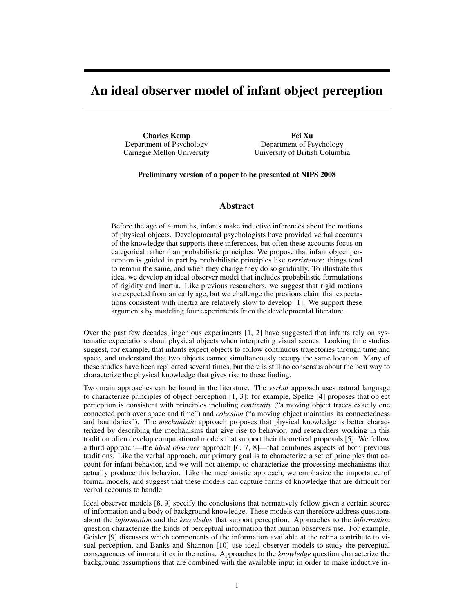# **An ideal observer model of infant object perception**

**Charles Kemp** Department of Psychology Carnegie Mellon University

**Fei Xu** Department of Psychology University of British Columbia

**Preliminary version of a paper to be presented at NIPS 2008**

## **Abstract**

Before the age of 4 months, infants make inductive inferences about the motions of physical objects. Developmental psychologists have provided verbal accounts of the knowledge that supports these inferences, but often these accounts focus on categorical rather than probabilistic principles. We propose that infant object perception is guided in part by probabilistic principles like *persistence*: things tend to remain the same, and when they change they do so gradually. To illustrate this idea, we develop an ideal observer model that includes probabilistic formulations of rigidity and inertia. Like previous researchers, we suggest that rigid motions are expected from an early age, but we challenge the previous claim that expectations consistent with inertia are relatively slow to develop [1]. We support these arguments by modeling four experiments from the developmental literature.

Over the past few decades, ingenious experiments [1, 2] have suggested that infants rely on systematic expectations about physical objects when interpreting visual scenes. Looking time studies suggest, for example, that infants expect objects to follow continuous trajectories through time and space, and understand that two objects cannot simultaneously occupy the same location. Many of these studies have been replicated several times, but there is still no consensus about the best way to characterize the physical knowledge that gives rise to these finding.

Two main approaches can be found in the literature. The *verbal* approach uses natural language to characterize principles of object perception [1, 3]: for example, Spelke [4] proposes that object perception is consistent with principles including *continuity* ("a moving object traces exactly one connected path over space and time") and *cohesion* ("a moving object maintains its connectedness and boundaries"). The *mechanistic* approach proposes that physical knowledge is better characterized by describing the mechanisms that give rise to behavior, and researchers working in this tradition often develop computational models that support their theoretical proposals [5]. We follow a third approach—the *ideal observer* approach [6, 7, 8]—that combines aspects of both previous traditions. Like the verbal approach, our primary goal is to characterize a set of principles that account for infant behavior, and we will not attempt to characterize the processing mechanisms that actually produce this behavior. Like the mechanistic approach, we emphasize the importance of formal models, and suggest that these models can capture forms of knowledge that are difficult for verbal accounts to handle.

Ideal observer models [8, 9] specify the conclusions that normatively follow given a certain source of information and a body of background knowledge. These models can therefore address questions about the *information* and the *knowledge* that support perception. Approaches to the *information* question characterize the kinds of perceptual information that human observers use. For example, Geisler [9] discusses which components of the information available at the retina contribute to visual perception, and Banks and Shannon [10] use ideal observer models to study the perceptual consequences of immaturities in the retina. Approaches to the *knowledge* question characterize the background assumptions that are combined with the available input in order to make inductive in-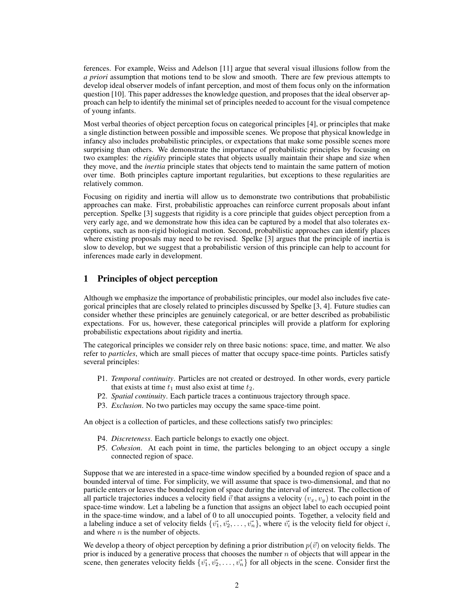ferences. For example, Weiss and Adelson [11] argue that several visual illusions follow from the *a priori* assumption that motions tend to be slow and smooth. There are few previous attempts to develop ideal observer models of infant perception, and most of them focus only on the information question [10]. This paper addresses the knowledge question, and proposes that the ideal observer approach can help to identify the minimal set of principles needed to account for the visual competence of young infants.

Most verbal theories of object perception focus on categorical principles [4], or principles that make a single distinction between possible and impossible scenes. We propose that physical knowledge in infancy also includes probabilistic principles, or expectations that make some possible scenes more surprising than others. We demonstrate the importance of probabilistic principles by focusing on two examples: the *rigidity* principle states that objects usually maintain their shape and size when they move, and the *inertia* principle states that objects tend to maintain the same pattern of motion over time. Both principles capture important regularities, but exceptions to these regularities are relatively common.

Focusing on rigidity and inertia will allow us to demonstrate two contributions that probabilistic approaches can make. First, probabilistic approaches can reinforce current proposals about infant perception. Spelke [3] suggests that rigidity is a core principle that guides object perception from a very early age, and we demonstrate how this idea can be captured by a model that also tolerates exceptions, such as non-rigid biological motion. Second, probabilistic approaches can identify places where existing proposals may need to be revised. Spelke [3] argues that the principle of inertia is slow to develop, but we suggest that a probabilistic version of this principle can help to account for inferences made early in development.

# **1 Principles of object perception**

Although we emphasize the importance of probabilistic principles, our model also includes five categorical principles that are closely related to principles discussed by Spelke [3, 4]. Future studies can consider whether these principles are genuinely categorical, or are better described as probabilistic expectations. For us, however, these categorical principles will provide a platform for exploring probabilistic expectations about rigidity and inertia.

The categorical principles we consider rely on three basic notions: space, time, and matter. We also refer to *particles*, which are small pieces of matter that occupy space-time points. Particles satisfy several principles:

- P1. *Temporal continuity*. Particles are not created or destroyed. In other words, every particle that exists at time  $t_1$  must also exist at time  $t_2$ .
- P2. *Spatial continuity*. Each particle traces a continuous trajectory through space.
- P3. *Exclusion*. No two particles may occupy the same space-time point.

An object is a collection of particles, and these collections satisfy two principles:

- P4. *Discreteness*. Each particle belongs to exactly one object.
- P5. *Cohesion*. At each point in time, the particles belonging to an object occupy a single connected region of space.

Suppose that we are interested in a space-time window specified by a bounded region of space and a bounded interval of time. For simplicity, we will assume that space is two-dimensional, and that no particle enters or leaves the bounded region of space during the interval of interest. The collection of all particle trajectories induces a velocity field  $\vec{v}$  that assigns a velocity  $(v_x, v_y)$  to each point in the space-time window. Let a labeling be a function that assigns an object label to each occupied point in the space-time window, and a label of 0 to all unoccupied points. Together, a velocity field and a labeling induce a set of velocity fields  $\{\vec{v_1}, \vec{v_2}, \dots, \vec{v_n}\}$ , where  $\vec{v_i}$  is the velocity field for object i, and where  $n$  is the number of objects.

We develop a theory of object perception by defining a prior distribution  $p(\vec{v})$  on velocity fields. The prior is induced by a generative process that chooses the number  $n$  of objects that will appear in the scene, then generates velocity fields  $\{\vec{v_1}, \vec{v_2}, \dots, \vec{v_n}\}$  for all objects in the scene. Consider first the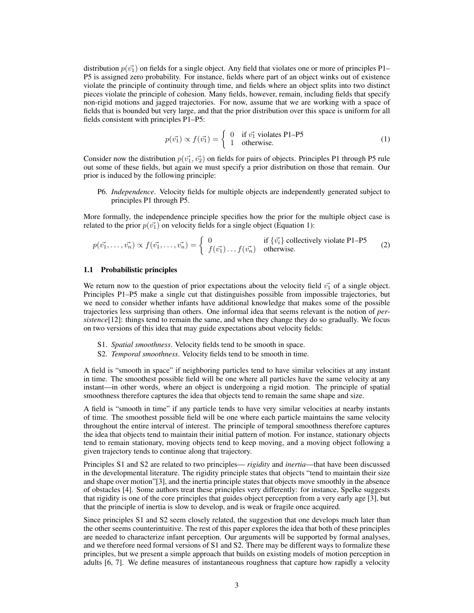distribution  $p(v_1)$  on fields for a single object. Any field that violates one or more of principles P1– P5 is assigned zero probability. For instance, fields where part of an object winks out of existence violate the principle of continuity through time, and fields where an object splits into two distinct pieces violate the principle of cohesion. Many fields, however, remain, including fields that specify non-rigid motions and jagged trajectories. For now, assume that we are working with a space of fields that is bounded but very large, and that the prior distribution over this space is uniform for all fields consistent with principles P1–P5:

$$
p(\vec{v_1}) \propto f(\vec{v_1}) = \begin{cases} 0 & \text{if } \vec{v_1} \text{ violates P1-P5} \\ 1 & \text{otherwise.} \end{cases}
$$
 (1)

Consider now the distribution  $p(v_1^1, v_2^2)$  on fields for pairs of objects. Principles P1 through P5 rule out some of these fields, but again we must specify a prior distribution on those that remain. Our prior is induced by the following principle:

P6. *Independence*. Velocity fields for multiple objects are independently generated subject to principles P1 through P5.

More formally, the independence principle specifies how the prior for the multiple object case is related to the prior  $p(v_1)$  on velocity fields for a single object (Equation 1):

$$
p(\vec{v_1},\ldots,\vec{v_n}) \propto f(\vec{v_1},\ldots,\vec{v_n}) = \begin{cases} 0 & \text{if } \{\vec{v_i}\} \text{ collectively violate P1–P5} \\ f(\vec{v_1}) \ldots f(\vec{v_n}) & \text{otherwise.} \end{cases}
$$
 (2)

#### **1.1 Probabilistic principles**

We return now to the question of prior expectations about the velocity field  $\vec{v_1}$  of a single object. Principles P1–P5 make a single cut that distinguishes possible from impossible trajectories, but we need to consider whether infants have additional knowledge that makes some of the possible trajectories less surprising than others. One informal idea that seems relevant is the notion of *persistence*[12]: things tend to remain the same, and when they change they do so gradually. We focus on two versions of this idea that may guide expectations about velocity fields:

- S1. *Spatial smoothness*. Velocity fields tend to be smooth in space.
- S2. *Temporal smoothness*. Velocity fields tend to be smooth in time.

A field is "smooth in space" if neighboring particles tend to have similar velocities at any instant in time. The smoothest possible field will be one where all particles have the same velocity at any instant—in other words, where an object is undergoing a rigid motion. The principle of spatial smoothness therefore captures the idea that objects tend to remain the same shape and size.

A field is "smooth in time" if any particle tends to have very similar velocities at nearby instants of time. The smoothest possible field will be one where each particle maintains the same velocity throughout the entire interval of interest. The principle of temporal smoothness therefore captures the idea that objects tend to maintain their initial pattern of motion. For instance, stationary objects tend to remain stationary, moving objects tend to keep moving, and a moving object following a given trajectory tends to continue along that trajectory.

Principles S1 and S2 are related to two principles— *rigidity* and *inertia*—that have been discussed in the developmental literature. The rigidity principle states that objects "tend to maintain their size and shape over motion"[3], and the inertia principle states that objects move smoothly in the absence of obstacles [4]. Some authors treat these principles very differently: for instance, Spelke suggests that rigidity is one of the core principles that guides object perception from a very early age [3], but that the principle of inertia is slow to develop, and is weak or fragile once acquired.

Since principles S1 and S2 seem closely related, the suggestion that one develops much later than the other seems counterintuitive. The rest of this paper explores the idea that both of these principles are needed to characterize infant perception. Our arguments will be supported by formal analyses, and we therefore need formal versions of S1 and S2. There may be different ways to formalize these principles, but we present a simple approach that builds on existing models of motion perception in adults [6, 7]. We define measures of instantaneous roughness that capture how rapidly a velocity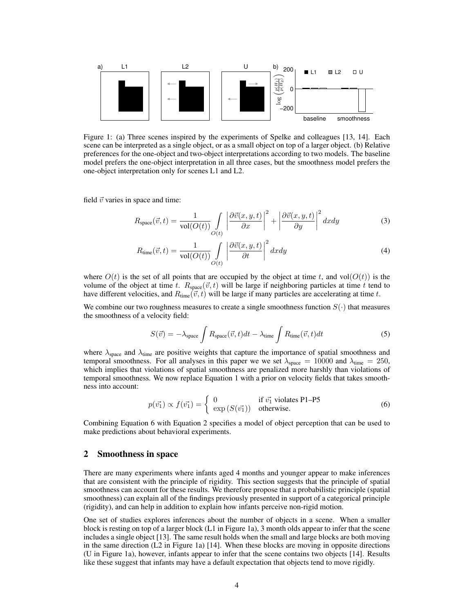

Figure 1: (a) Three scenes inspired by the experiments of Spelke and colleagues [13, 14]. Each scene can be interpreted as a single object, or as a small object on top of a larger object. (b) Relative preferences for the one-object and two-object interpretations according to two models. The baseline model prefers the one-object interpretation in all three cases, but the smoothness model prefers the one-object interpretation only for scenes L1 and L2.

field  $\vec{v}$  varies in space and time:

$$
R_{\text{space}}(\vec{v},t) = \frac{1}{\text{vol}(O(t))} \int\limits_{O(t)} \left| \frac{\partial \vec{v}(x,y,t)}{\partial x} \right|^2 + \left| \frac{\partial \vec{v}(x,y,t)}{\partial y} \right|^2 dxdy \tag{3}
$$

$$
R_{\text{time}}(\vec{v},t) = \frac{1}{\text{vol}(O(t))} \int\limits_{O(t)} \left| \frac{\partial \vec{v}(x,y,t)}{\partial t} \right|^2 dx dy \tag{4}
$$

where  $O(t)$  is the set of all points that are occupied by the object at time t, and vol $(O(t))$  is the volume of the object at time t.  $R_{space}(\vec{v}, t)$  will be large if neighboring particles at time t tend to have different velocities, and  $R_{time}(\vec{v}, t)$  will be large if many particles are accelerating at time t.

We combine our two roughness measures to create a single smoothness function  $S(\cdot)$  that measures the smoothness of a velocity field:

$$
S(\vec{v}) = -\lambda_{\text{space}} \int R_{\text{space}}(\vec{v}, t) dt - \lambda_{\text{time}} \int R_{\text{time}}(\vec{v}, t) dt \tag{5}
$$

where  $\lambda_{\text{space}}$  and  $\lambda_{\text{time}}$  are positive weights that capture the importance of spatial smoothness and temporal smoothness. For all analyses in this paper we we set  $\lambda_{\text{space}} = 10000$  and  $\lambda_{\text{time}} = 250$ , which implies that violations of spatial smoothness are penalized more harshly than violations of temporal smoothness. We now replace Equation 1 with a prior on velocity fields that takes smoothness into account:

$$
p(\vec{v_1}) \propto f(\vec{v_1}) = \begin{cases} 0 & \text{if } \vec{v_1} \text{ violates P1-P5} \\ \exp(S(\vec{v_1})) & \text{otherwise.} \end{cases}
$$
 (6)

Combining Equation 6 with Equation 2 specifies a model of object perception that can be used to make predictions about behavioral experiments.

#### **2 Smoothness in space**

There are many experiments where infants aged 4 months and younger appear to make inferences that are consistent with the principle of rigidity. This section suggests that the principle of spatial smoothness can account for these results. We therefore propose that a probabilistic principle (spatial smoothness) can explain all of the findings previously presented in support of a categorical principle (rigidity), and can help in addition to explain how infants perceive non-rigid motion.

One set of studies explores inferences about the number of objects in a scene. When a smaller block is resting on top of a larger block (L1 in Figure 1a), 3 month olds appear to infer that the scene includes a single object [13]. The same result holds when the small and large blocks are both moving in the same direction  $(L2$  in Figure 1a) [14]. When these blocks are moving in opposite directions (U in Figure 1a), however, infants appear to infer that the scene contains two objects [14]. Results like these suggest that infants may have a default expectation that objects tend to move rigidly.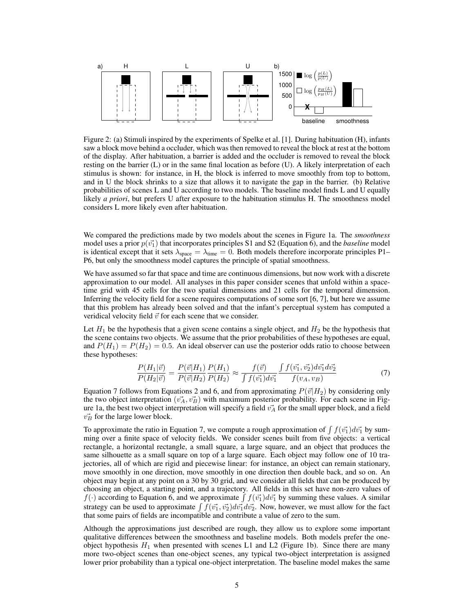

Figure 2: (a) Stimuli inspired by the experiments of Spelke et al. [1]. During habituation (H), infants saw a block move behind a occluder, which was then removed to reveal the block at rest at the bottom of the display. After habituation, a barrier is added and the occluder is removed to reveal the block resting on the barrier (L) or in the same final location as before (U). A likely interpretation of each stimulus is shown: for instance, in H, the block is inferred to move smoothly from top to bottom, and in U the block shrinks to a size that allows it to navigate the gap in the barrier. (b) Relative probabilities of scenes L and U according to two models. The baseline model finds L and U equally likely *a priori*, but prefers U after exposure to the habituation stimulus H. The smoothness model considers L more likely even after habituation.

We compared the predictions made by two models about the scenes in Figure 1a. The *smoothness* model uses a prior  $p(\vec{v_1})$  that incorporates principles S1 and S2 (Equation 6), and the *baseline* model is identical except that it sets  $\lambda_{\text{space}} = \lambda_{\text{time}} = 0$ . Both models therefore incorporate principles P1– P6, but only the smoothness model captures the principle of spatial smoothness.

We have assumed so far that space and time are continuous dimensions, but now work with a discrete approximation to our model. All analyses in this paper consider scenes that unfold within a spacetime grid with 45 cells for the two spatial dimensions and 21 cells for the temporal dimension. Inferring the velocity field for a scene requires computations of some sort [6, 7], but here we assume that this problem has already been solved and that the infant's perceptual system has computed a veridical velocity field  $\vec{v}$  for each scene that we consider.

Let  $H_1$  be the hypothesis that a given scene contains a single object, and  $H_2$  be the hypothesis that the scene contains two objects. We assume that the prior probabilities of these hypotheses are equal, and  $P(H_1) = P(H_2) = 0.5$ . An ideal observer can use the posterior odds ratio to choose between these hypotheses:

$$
\frac{P(H_1|\vec{v})}{P(H_2|\vec{v})} = \frac{P(\vec{v}|H_1)}{P(\vec{v}|H_2)} \frac{P(H_1)}{P(H_2)} \approx \frac{f(\vec{v})}{\int f(\vec{v_1}) d\vec{v_1}} \frac{\int f(\vec{v_1}, \vec{v_2}) d\vec{v_1} d\vec{v_2}}{f(v_A, v_B)}
$$
(7)

Equation 7 follows from Equations 2 and 6, and from approximating  $P(\vec{v}|H_2)$  by considering only the two object interpretation  $(\vec{v}_A, \vec{v}_B)$  with maximum posterior probability. For each scene in Figure 1a, the best two object interpretation will specify a field  $v_A^T$  for the small upper block, and a field  $v_B^2$  for the large lower block.

To approximate the ratio in Equation 7, we compute a rough approximation of  $\int f(\vec{v_1})d\vec{v_1}$  by summing over a finite space of velocity fields. We consider scenes built from five objects: a vertical rectangle, a horizontal rectangle, a small square, a large square, and an object that produces the same silhouette as a small square on top of a large square. Each object may follow one of 10 trajectories, all of which are rigid and piecewise linear: for instance, an object can remain stationary, move smoothly in one direction, move smoothly in one direction then double back, and so on. An object may begin at any point on a 30 by 30 grid, and we consider all fields that can be produced by choosing an object, a starting point, and a trajectory. All fields in this set have non-zero values of  $f(\cdot)$  according to Equation 6, and we approximate  $\int f(\vec{v_1})d\vec{v_1}$  by summing these values. A similar strategy can be used to approximate  $\int f(\vec{v_1}, \vec{v_2}) d\vec{v_1} d\vec{v_2}$ . Now, however, we must allow for the fact that some pairs of fields are incompatible and contribute a value of zero to the sum.

Although the approximations just described are rough, they allow us to explore some important qualitative differences between the smoothness and baseline models. Both models prefer the oneobject hypothesis  $H_1$  when presented with scenes L1 and L2 (Figure 1b). Since there are many more two-object scenes than one-object scenes, any typical two-object interpretation is assigned lower prior probability than a typical one-object interpretation. The baseline model makes the same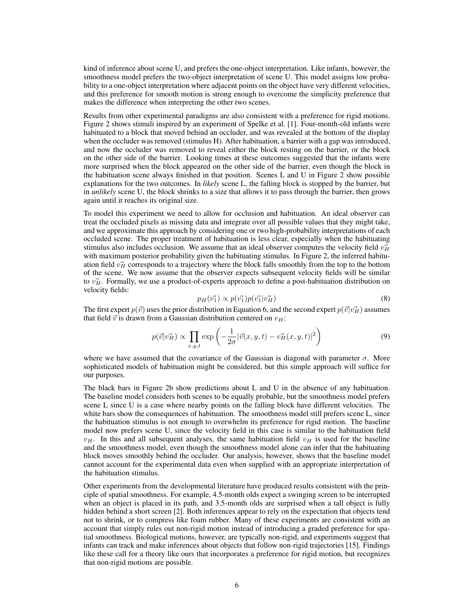kind of inference about scene U, and prefers the one-object interpretation. Like infants, however, the smoothness model prefers the two-object interpretation of scene U. This model assigns low probability to a one-object interpretation where adjacent points on the object have very different velocities, and this preference for smooth motion is strong enough to overcome the simplicity preference that makes the difference when interpreting the other two scenes.

Results from other experimental paradigms are also consistent with a preference for rigid motions. Figure 2 shows stimuli inspired by an experiment of Spelke et al. [1]. Four-month-old infants were habituated to a block that moved behind an occluder, and was revealed at the bottom of the display when the occluder was removed (stimulus H). After habituation, a barrier with a gap was introduced, and now the occluder was removed to reveal either the block resting on the barrier, or the block on the other side of the barrier. Looking times at these outcomes suggested that the infants were more surprised when the block appeared on the other side of the barrier, even though the block in the habituation scene always finished in that position. Scenes L and U in Figure 2 show possible explanations for the two outcomes. In *likely* scene L, the falling block is stopped by the barrier, but in *unlikely* scene U, the block shrinks to a size that allows it to pass through the barrier, then grows again until it reaches its original size.

To model this experiment we need to allow for occlusion and habituation. An ideal observer can treat the occluded pixels as missing data and integrate over all possible values that they might take, and we approximate this approach by considering one or two high-probability interpretations of each occluded scene. The proper treatment of habituation is less clear, especially when the habituating stimulus also includes occlusion. We assume that an ideal observer computes the velocity field  $v_H^2$ with maximum posterior probability given the habituating stimulus. In Figure 2, the inferred habituation field  $v_H^2$  corresponds to a trajectory where the block falls smoothly from the top to the bottom of the scene. We now assume that the observer expects subsequent velocity fields will be similar to  $v_H^2$ . Formally, we use a product-of-experts approach to define a post-habituation distribution on velocity fields:

$$
p_H(\vec{v_1}) \propto p(\vec{v_1}) p(\vec{v_1}|\vec{v_H})
$$
\n(8)

The first expert  $p(\vec{v})$  uses the prior distribution in Equation 6, and the second expert  $p(\vec{v} | \vec{v_H})$  assumes that field  $\vec{v}$  is drawn from a Gaussian distribution centered on  $v_H$ :

$$
p(\vec{v}|\vec{v_H}) \propto \prod_{x,y,t} \exp\left(-\frac{1}{2\sigma}|\vec{v}(x,y,t) - \vec{v_H}(x,y,t)|^2\right) \tag{9}
$$

where we have assumed that the covariance of the Gaussian is diagonal with parameter  $\sigma$ . More sophisticated models of habituation might be considered, but this simple approach will suffice for our purposes.

The black bars in Figure 2b show predictions about L and U in the absence of any habituation. The baseline model considers both scenes to be equally probable, but the smoothness model prefers scene L since U is a case where nearby points on the falling block have different velocities. The white bars show the consequences of habituation. The smoothness model still prefers scene L, since the habituation stimulus is not enough to overwhelm its preference for rigid motion. The baseline model now prefers scene U, since the velocity field in this case is similar to the habituation field  $v_H$ . In this and all subsequent analyses, the same habituation field  $v_H$  is used for the baseline and the smoothness model, even though the smoothness model alone can infer that the habituating block moves smoothly behind the occluder. Our analysis, however, shows that the baseline model cannot account for the experimental data even when supplied with an appropriate interpretation of the habituation stimulus.

Other experiments from the developmental literature have produced results consistent with the principle of spatial smoothness. For example, 4.5-month olds expect a swinging screen to be interrupted when an object is placed in its path, and 3.5-month olds are surprised when a tall object is fully hidden behind a short screen [2]. Both inferences appear to rely on the expectation that objects tend not to shrink, or to compress like foam rubber. Many of these experiments are consistent with an account that simply rules out non-rigid motion instead of introducing a graded preference for spatial smoothness. Biological motions, however, are typically non-rigid, and experiments suggest that infants can track and make inferences about objects that follow non-rigid trajectories [15]. Findings like these call for a theory like ours that incorporates a preference for rigid motion, but recognizes that non-rigid motions are possible.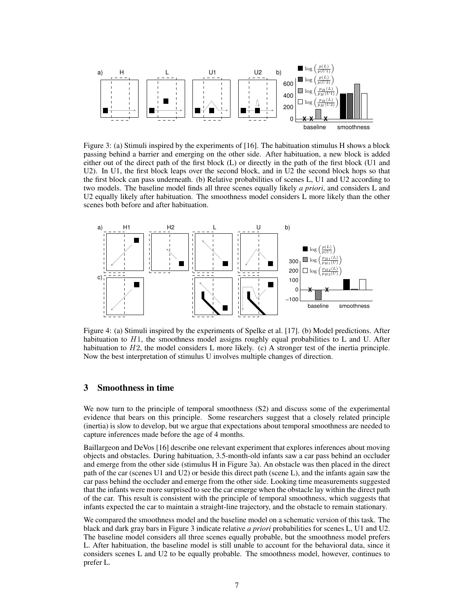

Figure 3: (a) Stimuli inspired by the experiments of [16]. The habituation stimulus H shows a block passing behind a barrier and emerging on the other side. After habituation, a new block is added either out of the direct path of the first block (L) or directly in the path of the first block (U1 and U2). In U1, the first block leaps over the second block, and in U2 the second block hops so that the first block can pass underneath. (b) Relative probabilities of scenes L, U1 and U2 according to two models. The baseline model finds all three scenes equally likely *a priori*, and considers L and U2 equally likely after habituation. The smoothness model considers L more likely than the other scenes both before and after habituation.



Figure 4: (a) Stimuli inspired by the experiments of Spelke et al. [17]. (b) Model predictions. After habituation to  $H_1$ , the smoothness model assigns roughly equal probabilities to L and U. After habituation to  $H2$ , the model considers L more likely. (c) A stronger test of the inertia principle. Now the best interpretation of stimulus U involves multiple changes of direction.

## **3 Smoothness in time**

We now turn to the principle of temporal smoothness (S2) and discuss some of the experimental evidence that bears on this principle. Some researchers suggest that a closely related principle (inertia) is slow to develop, but we argue that expectations about temporal smoothness are needed to capture inferences made before the age of 4 months.

Baillargeon and DeVos [16] describe one relevant experiment that explores inferences about moving objects and obstacles. During habituation, 3.5-month-old infants saw a car pass behind an occluder and emerge from the other side (stimulus H in Figure 3a). An obstacle was then placed in the direct path of the car (scenes U1 and U2) or beside this direct path (scene L), and the infants again saw the car pass behind the occluder and emerge from the other side. Looking time measurements suggested that the infants were more surprised to see the car emerge when the obstacle lay within the direct path of the car. This result is consistent with the principle of temporal smoothness, which suggests that infants expected the car to maintain a straight-line trajectory, and the obstacle to remain stationary.

We compared the smoothness model and the baseline model on a schematic version of this task. The black and dark gray bars in Figure 3 indicate relative *a priori* probabilities for scenes L, U1 and U2. The baseline model considers all three scenes equally probable, but the smoothness model prefers L. After habituation, the baseline model is still unable to account for the behavioral data, since it considers scenes L and U2 to be equally probable. The smoothness model, however, continues to prefer L.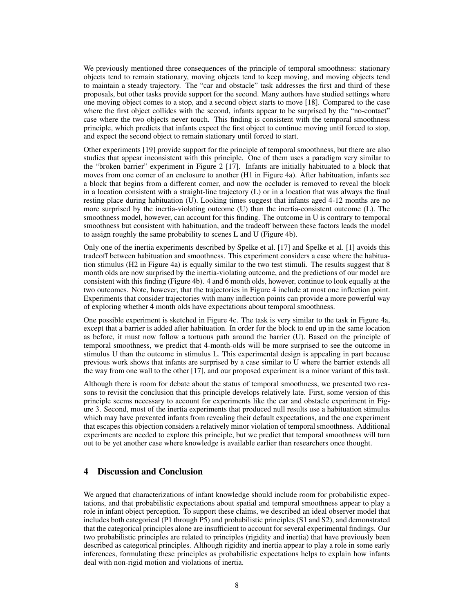We previously mentioned three consequences of the principle of temporal smoothness: stationary objects tend to remain stationary, moving objects tend to keep moving, and moving objects tend to maintain a steady trajectory. The "car and obstacle" task addresses the first and third of these proposals, but other tasks provide support for the second. Many authors have studied settings where one moving object comes to a stop, and a second object starts to move [18]. Compared to the case where the first object collides with the second, infants appear to be surprised by the "no-contact" case where the two objects never touch. This finding is consistent with the temporal smoothness principle, which predicts that infants expect the first object to continue moving until forced to stop, and expect the second object to remain stationary until forced to start.

Other experiments [19] provide support for the principle of temporal smoothness, but there are also studies that appear inconsistent with this principle. One of them uses a paradigm very similar to the "broken barrier" experiment in Figure 2 [17]. Infants are initially habituated to a block that moves from one corner of an enclosure to another (H1 in Figure 4a). After habituation, infants see a block that begins from a different corner, and now the occluder is removed to reveal the block in a location consistent with a straight-line trajectory (L) or in a location that was always the final resting place during habituation (U). Looking times suggest that infants aged 4-12 months are no more surprised by the inertia-violating outcome (U) than the inertia-consistent outcome (L). The smoothness model, however, can account for this finding. The outcome in U is contrary to temporal smoothness but consistent with habituation, and the tradeoff between these factors leads the model to assign roughly the same probability to scenes L and U (Figure 4b).

Only one of the inertia experiments described by Spelke et al. [17] and Spelke et al. [1] avoids this tradeoff between habituation and smoothness. This experiment considers a case where the habituation stimulus (H2 in Figure 4a) is equally similar to the two test stimuli. The results suggest that 8 month olds are now surprised by the inertia-violating outcome, and the predictions of our model are consistent with this finding (Figure 4b). 4 and 6 month olds, however, continue to look equally at the two outcomes. Note, however, that the trajectories in Figure 4 include at most one inflection point. Experiments that consider trajectories with many inflection points can provide a more powerful way of exploring whether 4 month olds have expectations about temporal smoothness.

One possible experiment is sketched in Figure 4c. The task is very similar to the task in Figure 4a, except that a barrier is added after habituation. In order for the block to end up in the same location as before, it must now follow a tortuous path around the barrier (U). Based on the principle of temporal smoothness, we predict that 4-month-olds will be more surprised to see the outcome in stimulus U than the outcome in stimulus L. This experimental design is appealing in part because previous work shows that infants are surprised by a case similar to U where the barrier extends all the way from one wall to the other [17], and our proposed experiment is a minor variant of this task.

Although there is room for debate about the status of temporal smoothness, we presented two reasons to revisit the conclusion that this principle develops relatively late. First, some version of this principle seems necessary to account for experiments like the car and obstacle experiment in Figure 3. Second, most of the inertia experiments that produced null results use a habituation stimulus which may have prevented infants from revealing their default expectations, and the one experiment that escapes this objection considers a relatively minor violation of temporal smoothness. Additional experiments are needed to explore this principle, but we predict that temporal smoothness will turn out to be yet another case where knowledge is available earlier than researchers once thought.

# **4 Discussion and Conclusion**

We argued that characterizations of infant knowledge should include room for probabilistic expectations, and that probabilistic expectations about spatial and temporal smoothness appear to play a role in infant object perception. To support these claims, we described an ideal observer model that includes both categorical (P1 through P5) and probabilistic principles (S1 and S2), and demonstrated that the categorical principles alone are insufficient to account for several experimental findings. Our two probabilistic principles are related to principles (rigidity and inertia) that have previously been described as categorical principles. Although rigidity and inertia appear to play a role in some early inferences, formulating these principles as probabilistic expectations helps to explain how infants deal with non-rigid motion and violations of inertia.